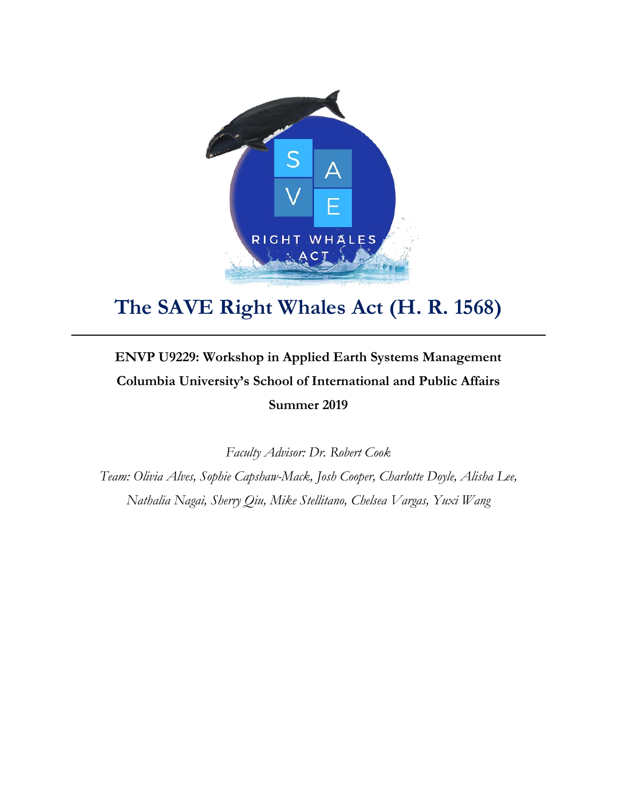

# **The SAVE Right Whales Act (H. R. 1568)**

## **ENVP U9229: Workshop in Applied Earth Systems Management Columbia University's School of International and Public Affairs Summer 2019**

*Faculty Advisor: Dr. Robert Cook*

*Team: Olivia Alves, Sophie Capshaw-Mack, Josh Cooper, Charlotte Doyle, Alisha Lee, Nathalia Nagai, Sherry Qiu, Mike Stellitano, Chelsea Vargas, Yuxi Wang*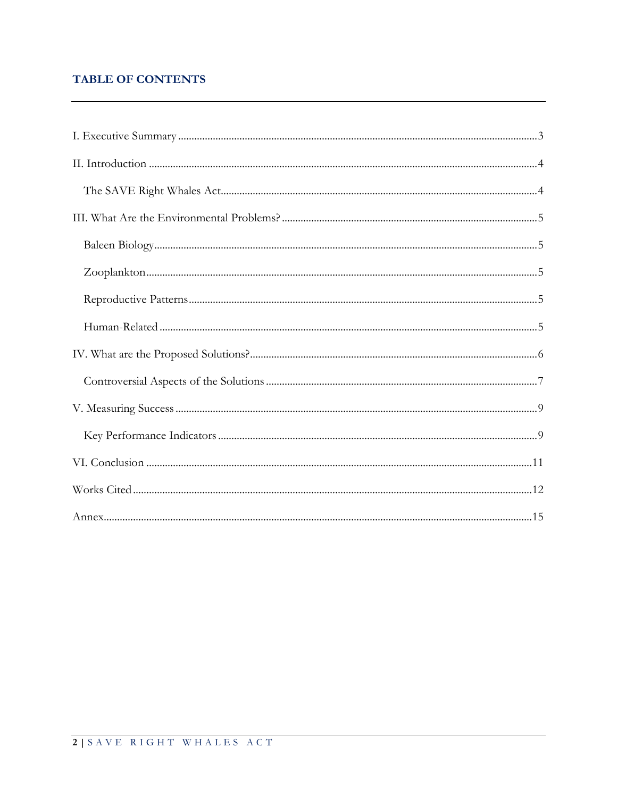## **TABLE OF CONTENTS**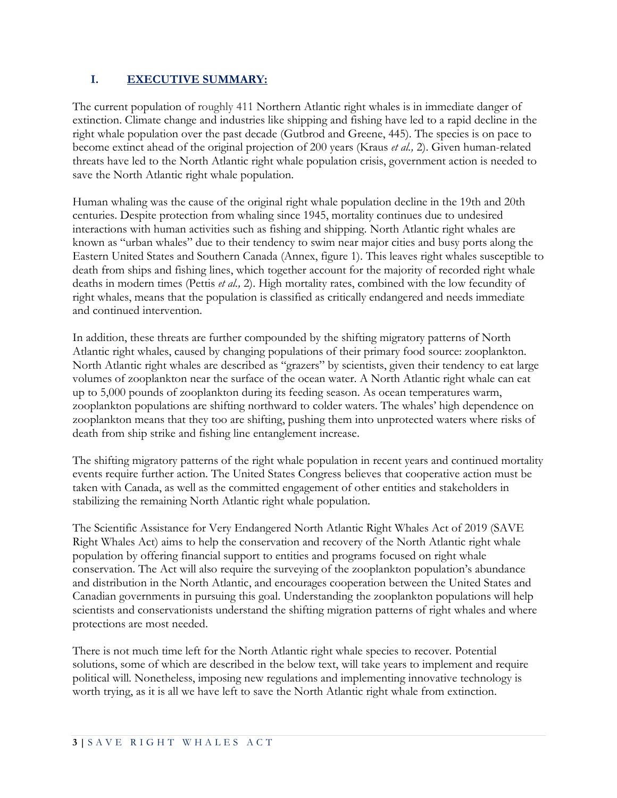## **I. EXECUTIVE SUMMARY:**

The current population of roughly 411 Northern Atlantic right whales is in immediate danger of extinction. Climate change and industries like shipping and fishing have led to a rapid decline in the right whale population over the past decade (Gutbrod and Greene, 445). The species is on pace to become extinct ahead of the original projection of 200 years (Kraus *et al.,* 2). Given human-related threats have led to the North Atlantic right whale population crisis, government action is needed to save the North Atlantic right whale population.

Human whaling was the cause of the original right whale population decline in the 19th and 20th centuries. Despite protection from whaling since 1945, mortality continues due to undesired interactions with human activities such as fishing and shipping. North Atlantic right whales are known as "urban whales" due to their tendency to swim near major cities and busy ports along the Eastern United States and Southern Canada (Annex, figure 1). This leaves right whales susceptible to death from ships and fishing lines, which together account for the majority of recorded right whale deaths in modern times (Pettis *et al.,* 2). High mortality rates, combined with the low fecundity of right whales, means that the population is classified as critically endangered and needs immediate and continued intervention.

In addition, these threats are further compounded by the shifting migratory patterns of North Atlantic right whales, caused by changing populations of their primary food source: zooplankton. North Atlantic right whales are described as "grazers" by scientists, given their tendency to eat large volumes of zooplankton near the surface of the ocean water. A North Atlantic right whale can eat up to 5,000 pounds of zooplankton during its feeding season. As ocean temperatures warm, zooplankton populations are shifting northward to colder waters. The whales' high dependence on zooplankton means that they too are shifting, pushing them into unprotected waters where risks of death from ship strike and fishing line entanglement increase.

The shifting migratory patterns of the right whale population in recent years and continued mortality events require further action. The United States Congress believes that cooperative action must be taken with Canada, as well as the committed engagement of other entities and stakeholders in stabilizing the remaining North Atlantic right whale population.

The Scientific Assistance for Very Endangered North Atlantic Right Whales Act of 2019 (SAVE Right Whales Act) aims to help the conservation and recovery of the North Atlantic right whale population by offering financial support to entities and programs focused on right whale conservation. The Act will also require the surveying of the zooplankton population's abundance and distribution in the North Atlantic, and encourages cooperation between the United States and Canadian governments in pursuing this goal. Understanding the zooplankton populations will help scientists and conservationists understand the shifting migration patterns of right whales and where protections are most needed.

There is not much time left for the North Atlantic right whale species to recover. Potential solutions, some of which are described in the below text, will take years to implement and require political will. Nonetheless, imposing new regulations and implementing innovative technology is worth trying, as it is all we have left to save the North Atlantic right whale from extinction.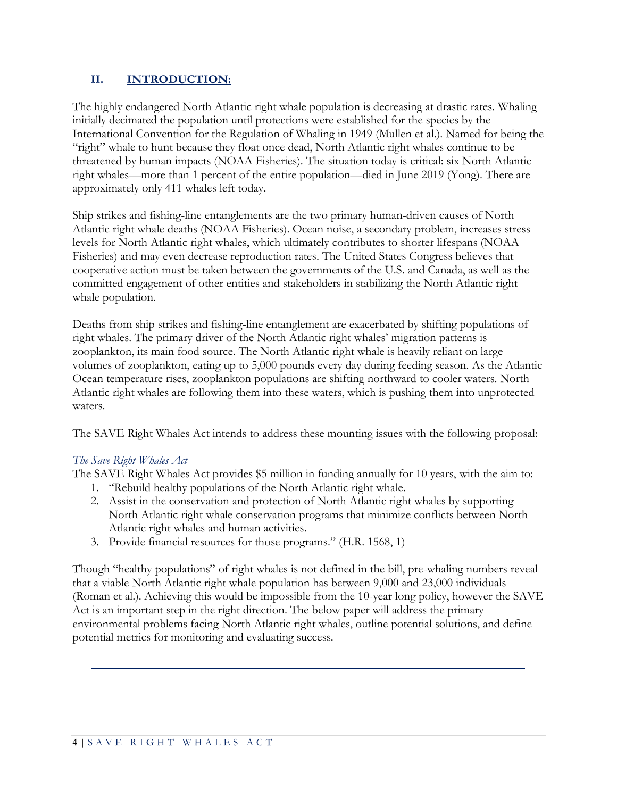## **II. INTRODUCTION:**

The highly endangered North Atlantic right whale population is decreasing at drastic rates. Whaling initially decimated the population until protections were established for the species by the International Convention for the Regulation of Whaling in 1949 (Mullen et al.). Named for being the "right" whale to hunt because they float once dead, North Atlantic right whales continue to be threatened by human impacts (NOAA Fisheries). The situation today is critical: six North Atlantic right whales—more than 1 percent of the entire population—died in June 2019 (Yong). There are approximately only 411 whales left today.

Ship strikes and fishing-line entanglements are the two primary human-driven causes of North Atlantic right whale deaths (NOAA Fisheries). Ocean noise, a secondary problem, increases stress levels for North Atlantic right whales, which ultimately contributes to shorter lifespans (NOAA Fisheries) and may even decrease reproduction rates. The United States Congress believes that cooperative action must be taken between the governments of the U.S. and Canada, as well as the committed engagement of other entities and stakeholders in stabilizing the North Atlantic right whale population.

Deaths from ship strikes and fishing-line entanglement are exacerbated by shifting populations of right whales. The primary driver of the North Atlantic right whales' migration patterns is zooplankton, its main food source. The North Atlantic right whale is heavily reliant on large volumes of zooplankton, eating up to 5,000 pounds every day during feeding season. As the Atlantic Ocean temperature rises, zooplankton populations are shifting northward to cooler waters. North Atlantic right whales are following them into these waters, which is pushing them into unprotected waters.

The SAVE Right Whales Act intends to address these mounting issues with the following proposal:

#### *The Save Right Whales Act*

The SAVE Right Whales Act provides \$5 million in funding annually for 10 years, with the aim to:

- 1. "Rebuild healthy populations of the North Atlantic right whale.
- 2. Assist in the conservation and protection of North Atlantic right whales by supporting North Atlantic right whale conservation programs that minimize conflicts between North Atlantic right whales and human activities.
- 3. Provide financial resources for those programs." (H.R. 1568, 1)

Though "healthy populations" of right whales is not defined in the bill, pre-whaling numbers reveal that a viable North Atlantic right whale population has between 9,000 and 23,000 individuals (Roman et al.). Achieving this would be impossible from the 10-year long policy, however the SAVE Act is an important step in the right direction. The below paper will address the primary environmental problems facing North Atlantic right whales, outline potential solutions, and define potential metrics for monitoring and evaluating success.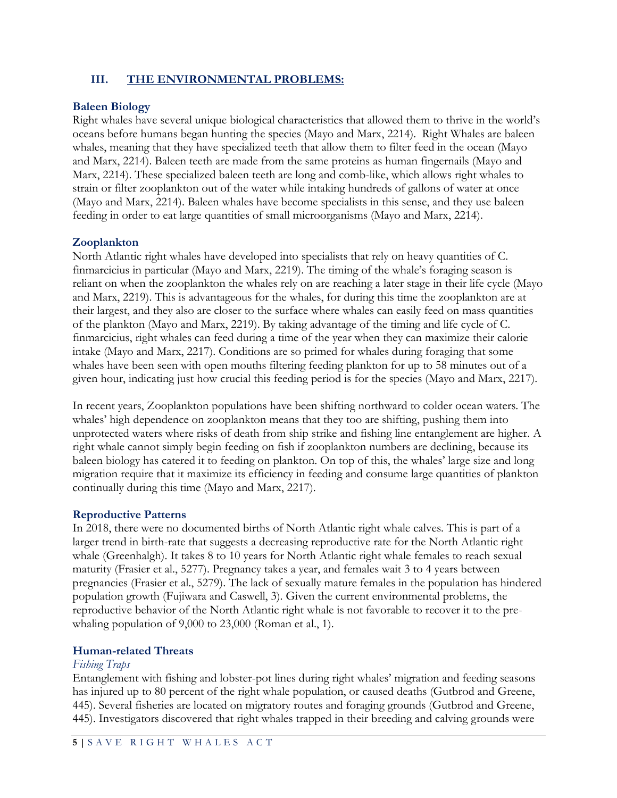#### **III. THE ENVIRONMENTAL PROBLEMS:**

#### **Baleen Biology**

Right whales have several unique biological characteristics that allowed them to thrive in the world's oceans before humans began hunting the species (Mayo and Marx, 2214). Right Whales are baleen whales, meaning that they have specialized teeth that allow them to filter feed in the ocean (Mayo and Marx, 2214). Baleen teeth are made from the same proteins as human fingernails (Mayo and Marx, 2214). These specialized baleen teeth are long and comb-like, which allows right whales to strain or filter zooplankton out of the water while intaking hundreds of gallons of water at once (Mayo and Marx, 2214). Baleen whales have become specialists in this sense, and they use baleen feeding in order to eat large quantities of small microorganisms (Mayo and Marx, 2214).

#### **Zooplankton**

North Atlantic right whales have developed into specialists that rely on heavy quantities of C. finmarcicius in particular (Mayo and Marx, 2219). The timing of the whale's foraging season is reliant on when the zooplankton the whales rely on are reaching a later stage in their life cycle (Mayo and Marx, 2219). This is advantageous for the whales, for during this time the zooplankton are at their largest, and they also are closer to the surface where whales can easily feed on mass quantities of the plankton (Mayo and Marx, 2219). By taking advantage of the timing and life cycle of C. finmarcicius, right whales can feed during a time of the year when they can maximize their calorie intake (Mayo and Marx, 2217). Conditions are so primed for whales during foraging that some whales have been seen with open mouths filtering feeding plankton for up to 58 minutes out of a given hour, indicating just how crucial this feeding period is for the species (Mayo and Marx, 2217).

In recent years, Zooplankton populations have been shifting northward to colder ocean waters. The whales' high dependence on zooplankton means that they too are shifting, pushing them into unprotected waters where risks of death from ship strike and fishing line entanglement are higher. A right whale cannot simply begin feeding on fish if zooplankton numbers are declining, because its baleen biology has catered it to feeding on plankton. On top of this, the whales' large size and long migration require that it maximize its efficiency in feeding and consume large quantities of plankton continually during this time (Mayo and Marx, 2217).

#### **Reproductive Patterns**

In 2018, there were no documented births of North Atlantic right whale calves. This is part of a larger trend in birth-rate that suggests a decreasing reproductive rate for the North Atlantic right whale (Greenhalgh). It takes 8 to 10 years for North Atlantic right whale females to reach sexual maturity (Frasier et al., 5277). Pregnancy takes a year, and females wait 3 to 4 years between pregnancies (Frasier et al., 5279). The lack of sexually mature females in the population has hindered population growth (Fujiwara and Caswell, 3). Given the current environmental problems, the reproductive behavior of the North Atlantic right whale is not favorable to recover it to the prewhaling population of 9,000 to 23,000 (Roman et al., 1).

## **Human-related Threats**

#### *Fishing Traps*

Entanglement with fishing and lobster-pot lines during right whales' migration and feeding seasons has injured up to 80 percent of the right whale population, or caused deaths (Gutbrod and Greene, 445). Several fisheries are located on migratory routes and foraging grounds (Gutbrod and Greene, 445). Investigators discovered that right whales trapped in their breeding and calving grounds were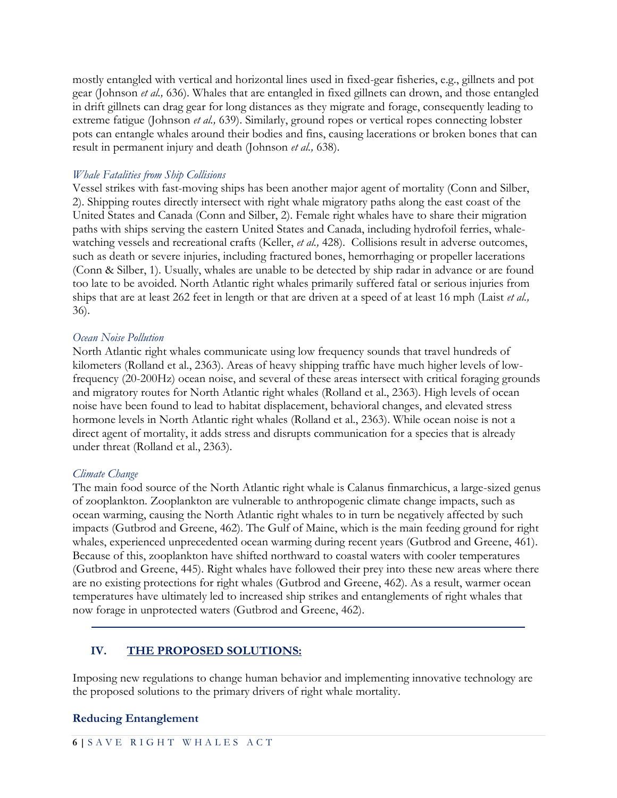mostly entangled with vertical and horizontal lines used in fixed-gear fisheries, e.g., gillnets and pot gear (Johnson *et al.,* 636). Whales that are entangled in fixed gillnets can drown, and those entangled in drift gillnets can drag gear for long distances as they migrate and forage, consequently leading to extreme fatigue (Johnson *et al.,* 639). Similarly, ground ropes or vertical ropes connecting lobster pots can entangle whales around their bodies and fins, causing lacerations or broken bones that can result in permanent injury and death (Johnson *et al.,* 638).

#### *Whale Fatalities from Ship Collisions*

Vessel strikes with fast-moving ships has been another major agent of mortality (Conn and Silber, 2). Shipping routes directly intersect with right whale migratory paths along the east coast of the United States and Canada (Conn and Silber, 2). Female right whales have to share their migration paths with ships serving the eastern United States and Canada, including hydrofoil ferries, whalewatching vessels and recreational crafts (Keller, *et al.,* 428). Collisions result in adverse outcomes, such as death or severe injuries, including fractured bones, hemorrhaging or propeller lacerations (Conn & Silber, 1). Usually, whales are unable to be detected by ship radar in advance or are found too late to be avoided. North Atlantic right whales primarily suffered fatal or serious injuries from ships that are at least 262 feet in length or that are driven at a speed of at least 16 mph (Laist *et al.,* 36).

#### *Ocean Noise Pollution*

North Atlantic right whales communicate using low frequency sounds that travel hundreds of kilometers (Rolland et al., 2363). Areas of heavy shipping traffic have much higher levels of lowfrequency (20-200Hz) ocean noise, and several of these areas intersect with critical foraging grounds and migratory routes for North Atlantic right whales (Rolland et al., 2363). High levels of ocean noise have been found to lead to habitat displacement, behavioral changes, and elevated stress hormone levels in North Atlantic right whales (Rolland et al., 2363). While ocean noise is not a direct agent of mortality, it adds stress and disrupts communication for a species that is already under threat (Rolland et al., 2363).

#### *Climate Change*

The main food source of the North Atlantic right whale is Calanus finmarchicus, a large-sized genus of zooplankton. Zooplankton are vulnerable to anthropogenic climate change impacts, such as ocean warming, causing the North Atlantic right whales to in turn be negatively affected by such impacts (Gutbrod and Greene, 462). The Gulf of Maine, which is the main feeding ground for right whales, experienced unprecedented ocean warming during recent years (Gutbrod and Greene, 461). Because of this, zooplankton have shifted northward to coastal waters with cooler temperatures (Gutbrod and Greene, 445). Right whales have followed their prey into these new areas where there are no existing protections for right whales (Gutbrod and Greene, 462). As a result, warmer ocean temperatures have ultimately led to increased ship strikes and entanglements of right whales that now forage in unprotected waters (Gutbrod and Greene, 462).

## **IV. THE PROPOSED SOLUTIONS:**

Imposing new regulations to change human behavior and implementing innovative technology are the proposed solutions to the primary drivers of right whale mortality.

#### **Reducing Entanglement**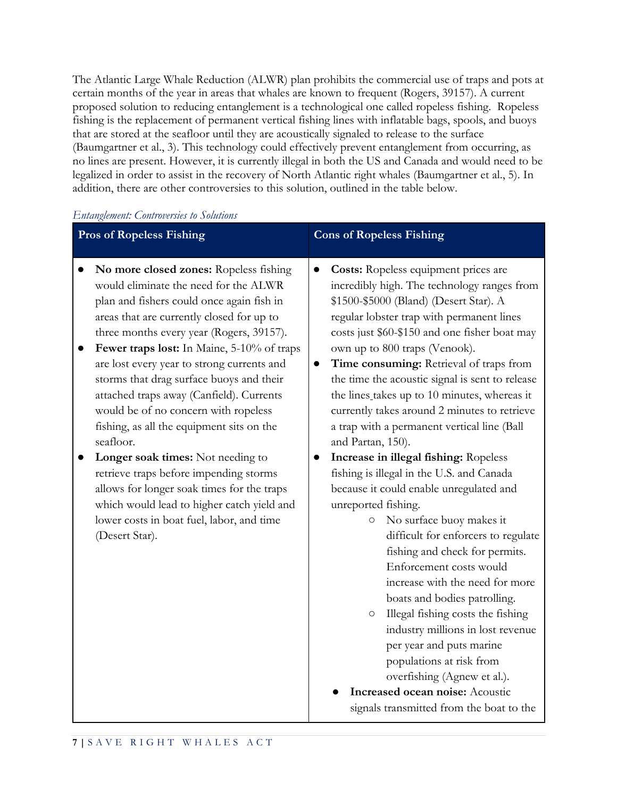The Atlantic Large Whale Reduction (ALWR) plan prohibits the commercial use of traps and pots at certain months of the year in areas that whales are known to frequent (Rogers, 39157). A current proposed solution to reducing entanglement is a technological one called ropeless fishing. Ropeless fishing is the replacement of permanent vertical fishing lines with inflatable bags, spools, and buoys that are stored at the seafloor until they are acoustically signaled to release to the surface (Baumgartner et al., 3). This technology could effectively prevent entanglement from occurring, as no lines are present. However, it is currently illegal in both the US and Canada and would need to be legalized in order to assist in the recovery of North Atlantic right whales (Baumgartner et al., 5). In addition, there are other controversies to this solution, outlined in the table below.

| <b>Pros of Ropeless Fishing</b>                                                                                                                                                                                                                                                                                                                                                                                                                                                                                                                                                                                                                                                                                                                       | <b>Cons of Ropeless Fishing</b>                                                                                                                                                                                                                                                                                                                                                                                                                                                                                                                                                                                                                                                                                                                                                                                                                                                                                                                                                                                                                                                                                                                                                                               |
|-------------------------------------------------------------------------------------------------------------------------------------------------------------------------------------------------------------------------------------------------------------------------------------------------------------------------------------------------------------------------------------------------------------------------------------------------------------------------------------------------------------------------------------------------------------------------------------------------------------------------------------------------------------------------------------------------------------------------------------------------------|---------------------------------------------------------------------------------------------------------------------------------------------------------------------------------------------------------------------------------------------------------------------------------------------------------------------------------------------------------------------------------------------------------------------------------------------------------------------------------------------------------------------------------------------------------------------------------------------------------------------------------------------------------------------------------------------------------------------------------------------------------------------------------------------------------------------------------------------------------------------------------------------------------------------------------------------------------------------------------------------------------------------------------------------------------------------------------------------------------------------------------------------------------------------------------------------------------------|
| No more closed zones: Ropeless fishing<br>would eliminate the need for the ALWR<br>plan and fishers could once again fish in<br>areas that are currently closed for up to<br>three months every year (Rogers, 39157).<br>Fewer traps lost: In Maine, 5-10% of traps<br>are lost every year to strong currents and<br>storms that drag surface buoys and their<br>attached traps away (Canfield). Currents<br>would be of no concern with ropeless<br>fishing, as all the equipment sits on the<br>seafloor.<br>Longer soak times: Not needing to<br>retrieve traps before impending storms<br>allows for longer soak times for the traps<br>which would lead to higher catch yield and<br>lower costs in boat fuel, labor, and time<br>(Desert Star). | <b>Costs:</b> Ropeless equipment prices are<br>$\bullet$<br>incredibly high. The technology ranges from<br>\$1500-\$5000 (Bland) (Desert Star). A<br>regular lobster trap with permanent lines<br>costs just \$60-\$150 and one fisher boat may<br>own up to 800 traps (Venook).<br>Time consuming: Retrieval of traps from<br>$\bullet$<br>the time the acoustic signal is sent to release<br>the lines takes up to 10 minutes, whereas it<br>currently takes around 2 minutes to retrieve<br>a trap with a permanent vertical line (Ball<br>and Partan, 150).<br>Increase in illegal fishing: Ropeless<br>$\bullet$<br>fishing is illegal in the U.S. and Canada<br>because it could enable unregulated and<br>unreported fishing.<br>No surface buoy makes it<br>$\circ$<br>difficult for enforcers to regulate<br>fishing and check for permits.<br>Enforcement costs would<br>increase with the need for more<br>boats and bodies patrolling.<br>Illegal fishing costs the fishing<br>$\circ$<br>industry millions in lost revenue<br>per year and puts marine<br>populations at risk from<br>overfishing (Agnew et al.).<br>Increased ocean noise: Acoustic<br>signals transmitted from the boat to the |

*Entanglement: Controversies to Solutions*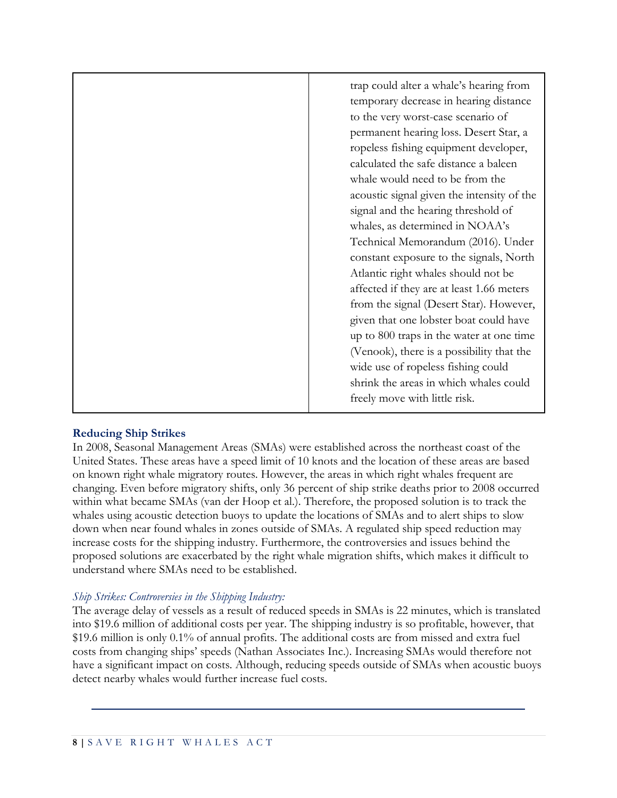|  | trap could alter a whale's hearing from<br>temporary decrease in hearing distance<br>to the very worst-case scenario of<br>permanent hearing loss. Desert Star, a<br>ropeless fishing equipment developer,<br>calculated the safe distance a baleen<br>whale would need to be from the<br>acoustic signal given the intensity of the<br>signal and the hearing threshold of<br>whales, as determined in NOAA's<br>Technical Memorandum (2016). Under<br>constant exposure to the signals, North<br>Atlantic right whales should not be<br>affected if they are at least 1.66 meters<br>from the signal (Desert Star). However,<br>given that one lobster boat could have<br>up to 800 traps in the water at one time<br>(Venook), there is a possibility that the<br>wide use of ropeless fishing could<br>shrink the areas in which whales could<br>freely move with little risk. |
|--|------------------------------------------------------------------------------------------------------------------------------------------------------------------------------------------------------------------------------------------------------------------------------------------------------------------------------------------------------------------------------------------------------------------------------------------------------------------------------------------------------------------------------------------------------------------------------------------------------------------------------------------------------------------------------------------------------------------------------------------------------------------------------------------------------------------------------------------------------------------------------------|
|--|------------------------------------------------------------------------------------------------------------------------------------------------------------------------------------------------------------------------------------------------------------------------------------------------------------------------------------------------------------------------------------------------------------------------------------------------------------------------------------------------------------------------------------------------------------------------------------------------------------------------------------------------------------------------------------------------------------------------------------------------------------------------------------------------------------------------------------------------------------------------------------|

#### **Reducing Ship Strikes**

In 2008, Seasonal Management Areas (SMAs) were established across the northeast coast of the United States. These areas have a speed limit of 10 knots and the location of these areas are based on known right whale migratory routes. However, the areas in which right whales frequent are changing. Even before migratory shifts, only 36 percent of ship strike deaths prior to 2008 occurred within what became SMAs (van der Hoop et al.). Therefore, the proposed solution is to track the whales using acoustic detection buoys to update the locations of SMAs and to alert ships to slow down when near found whales in zones outside of SMAs. A regulated ship speed reduction may increase costs for the shipping industry. Furthermore, the controversies and issues behind the proposed solutions are exacerbated by the right whale migration shifts, which makes it difficult to understand where SMAs need to be established.

#### *Ship Strikes: Controversies in the Shipping Industry:*

The average delay of vessels as a result of reduced speeds in SMAs is 22 minutes, which is translated into \$19.6 million of additional costs per year. The shipping industry is so profitable, however, that \$19.6 million is only 0.1% of annual profits. The additional costs are from missed and extra fuel costs from changing ships' speeds (Nathan Associates Inc.). Increasing SMAs would therefore not have a significant impact on costs. Although, reducing speeds outside of SMAs when acoustic buoys detect nearby whales would further increase fuel costs.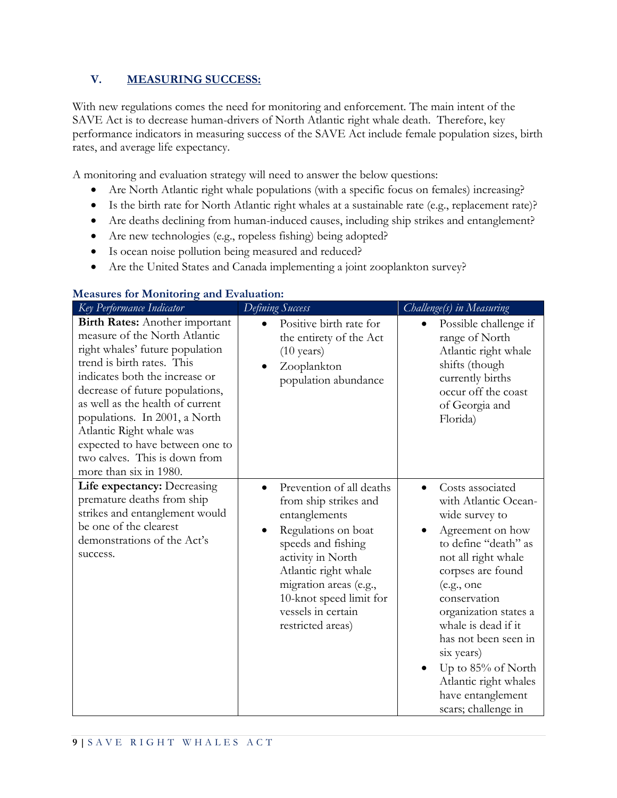## **V. MEASURING SUCCESS:**

With new regulations comes the need for monitoring and enforcement. The main intent of the SAVE Act is to decrease human-drivers of North Atlantic right whale death. Therefore, key performance indicators in measuring success of the SAVE Act include female population sizes, birth rates, and average life expectancy.

A monitoring and evaluation strategy will need to answer the below questions:

- Are North Atlantic right whale populations (with a specific focus on females) increasing?
- Is the birth rate for North Atlantic right whales at a sustainable rate (e.g., replacement rate)?
- Are deaths declining from human-induced causes, including ship strikes and entanglement?
- Are new technologies (e.g., ropeless fishing) being adopted?
- Is ocean noise pollution being measured and reduced?
- Are the United States and Canada implementing a joint zooplankton survey?

| Key Performance Indicator                                                                                                                                                                                                                                                                                                                                                                                   | Defining Success                                                                                                                                                                                                                                             | Challenge(s) in Measuring                                                                                                                                                                                                                                                                                                                                            |
|-------------------------------------------------------------------------------------------------------------------------------------------------------------------------------------------------------------------------------------------------------------------------------------------------------------------------------------------------------------------------------------------------------------|--------------------------------------------------------------------------------------------------------------------------------------------------------------------------------------------------------------------------------------------------------------|----------------------------------------------------------------------------------------------------------------------------------------------------------------------------------------------------------------------------------------------------------------------------------------------------------------------------------------------------------------------|
| <b>Birth Rates:</b> Another important<br>measure of the North Atlantic<br>right whales' future population<br>trend is birth rates. This<br>indicates both the increase or<br>decrease of future populations,<br>as well as the health of current<br>populations. In 2001, a North<br>Atlantic Right whale was<br>expected to have between one to<br>two calves. This is down from<br>more than six in 1980. | Positive birth rate for<br>the entirety of the Act<br>$(10 \text{ years})$<br>Zooplankton<br>population abundance                                                                                                                                            | Possible challenge if<br>$\bullet$<br>range of North<br>Atlantic right whale<br>shifts (though<br>currently births<br>occur off the coast<br>of Georgia and<br>Florida)                                                                                                                                                                                              |
| Life expectancy: Decreasing<br>premature deaths from ship<br>strikes and entanglement would<br>be one of the clearest<br>demonstrations of the Act's<br>success.                                                                                                                                                                                                                                            | Prevention of all deaths<br>from ship strikes and<br>entanglements<br>Regulations on boat<br>speeds and fishing<br>activity in North<br>Atlantic right whale<br>migration areas (e.g.,<br>10-knot speed limit for<br>vessels in certain<br>restricted areas) | Costs associated<br>with Atlantic Ocean-<br>wide survey to<br>Agreement on how<br>to define "death" as<br>not all right whale<br>corpses are found<br>(e.g., one<br>conservation<br>organization states a<br>whale is dead if it<br>has not been seen in<br>six years)<br>Up to $85\%$ of North<br>Atlantic right whales<br>have entanglement<br>scars; challenge in |

#### **Measures for Monitoring and Evaluation:**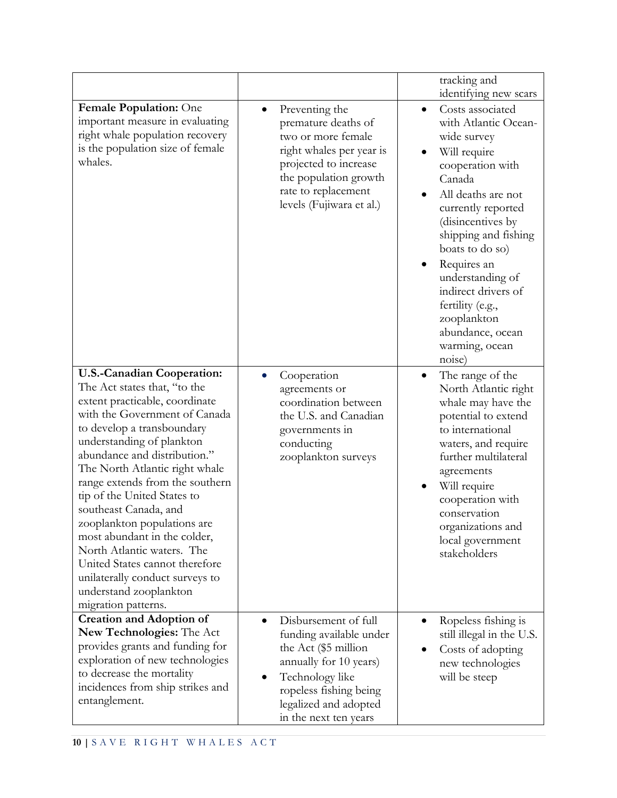|                                                                                                                                                                                                                                                                                                                                                                                                                                                                                                                                                                                 |                                                                                                                                                                                                               | tracking and<br>identifying new scars                                                                                                                                                                                                                                                                                                                                       |
|---------------------------------------------------------------------------------------------------------------------------------------------------------------------------------------------------------------------------------------------------------------------------------------------------------------------------------------------------------------------------------------------------------------------------------------------------------------------------------------------------------------------------------------------------------------------------------|---------------------------------------------------------------------------------------------------------------------------------------------------------------------------------------------------------------|-----------------------------------------------------------------------------------------------------------------------------------------------------------------------------------------------------------------------------------------------------------------------------------------------------------------------------------------------------------------------------|
| Female Population: One<br>important measure in evaluating<br>right whale population recovery<br>is the population size of female<br>whales.                                                                                                                                                                                                                                                                                                                                                                                                                                     | Preventing the<br>$\bullet$<br>premature deaths of<br>two or more female<br>right whales per year is<br>projected to increase<br>the population growth<br>rate to replacement<br>levels (Fujiwara et al.)     | Costs associated<br>$\bullet$<br>with Atlantic Ocean-<br>wide survey<br>Will require<br>cooperation with<br>Canada<br>All deaths are not<br>currently reported<br>(disincentives by<br>shipping and fishing<br>boats to do so)<br>Requires an<br>understanding of<br>indirect drivers of<br>fertility (e.g.,<br>zooplankton<br>abundance, ocean<br>warming, ocean<br>noise) |
| <b>U.S.-Canadian Cooperation:</b><br>The Act states that, "to the<br>extent practicable, coordinate<br>with the Government of Canada<br>to develop a transboundary<br>understanding of plankton<br>abundance and distribution."<br>The North Atlantic right whale<br>range extends from the southern<br>tip of the United States to<br>southeast Canada, and<br>zooplankton populations are<br>most abundant in the colder,<br>North Atlantic waters. The<br>United States cannot therefore<br>unilaterally conduct surveys to<br>understand zooplankton<br>migration patterns. | Cooperation<br>$\bullet$<br>agreements or<br>coordination between<br>the U.S. and Canadian<br>governments in<br>conducting<br>zooplankton surveys                                                             | The range of the<br>$\bullet$<br>North Atlantic right<br>whale may have the<br>potential to extend<br>to international<br>waters, and require<br>further multilateral<br>agreements<br>Will require<br>cooperation with<br>conservation<br>organizations and<br>local government<br>stakeholders                                                                            |
| <b>Creation and Adoption of</b><br>New Technologies: The Act<br>provides grants and funding for<br>exploration of new technologies<br>to decrease the mortality<br>incidences from ship strikes and<br>entanglement.                                                                                                                                                                                                                                                                                                                                                            | Disbursement of full<br>$\bullet$<br>funding available under<br>the Act (\$5 million<br>annually for 10 years)<br>Technology like<br>ropeless fishing being<br>legalized and adopted<br>in the next ten years | Ropeless fishing is<br>$\bullet$<br>still illegal in the U.S.<br>Costs of adopting<br>$\bullet$<br>new technologies<br>will be steep                                                                                                                                                                                                                                        |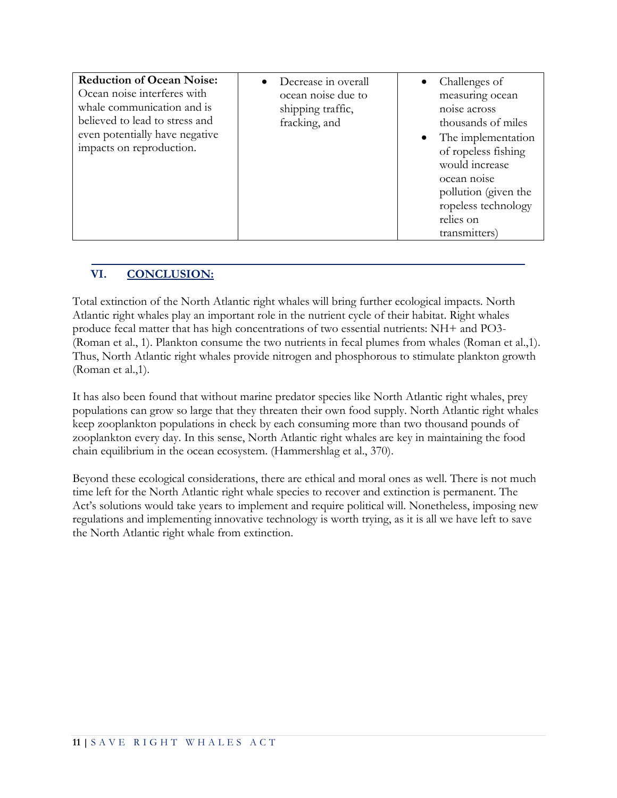| <b>Reduction of Ocean Noise:</b><br>Ocean noise interferes with<br>whale communication and is<br>believed to lead to stress and<br>even potentially have negative<br>impacts on reproduction. | Decrease in overall<br>ocean noise due to<br>shipping traffic,<br>fracking, and | Challenges of<br>measuring ocean<br>noise across<br>thousands of miles<br>The implementation<br>$\bullet$<br>of ropeless fishing<br>would increase<br>ocean noise<br>pollution (given the<br>ropeless technology<br>relies on<br>transmitters) |
|-----------------------------------------------------------------------------------------------------------------------------------------------------------------------------------------------|---------------------------------------------------------------------------------|------------------------------------------------------------------------------------------------------------------------------------------------------------------------------------------------------------------------------------------------|
|-----------------------------------------------------------------------------------------------------------------------------------------------------------------------------------------------|---------------------------------------------------------------------------------|------------------------------------------------------------------------------------------------------------------------------------------------------------------------------------------------------------------------------------------------|

## **VI. CONCLUSION:**

Total extinction of the North Atlantic right whales will bring further ecological impacts. North Atlantic right whales play an important role in the nutrient cycle of their habitat. Right whales produce fecal matter that has high concentrations of two essential nutrients: NH+ and PO3- (Roman et al., 1). Plankton consume the two nutrients in fecal plumes from whales (Roman et al.,1). Thus, North Atlantic right whales provide nitrogen and phosphorous to stimulate plankton growth (Roman et al.,1).

It has also been found that without marine predator species like North Atlantic right whales, prey populations can grow so large that they threaten their own food supply. North Atlantic right whales keep zooplankton populations in check by each consuming more than two thousand pounds of zooplankton every day. In this sense, North Atlantic right whales are key in maintaining the food chain equilibrium in the ocean ecosystem. (Hammershlag et al., 370).

Beyond these ecological considerations, there are ethical and moral ones as well. There is not much time left for the North Atlantic right whale species to recover and extinction is permanent. The Act's solutions would take years to implement and require political will. Nonetheless, imposing new regulations and implementing innovative technology is worth trying, as it is all we have left to save the North Atlantic right whale from extinction.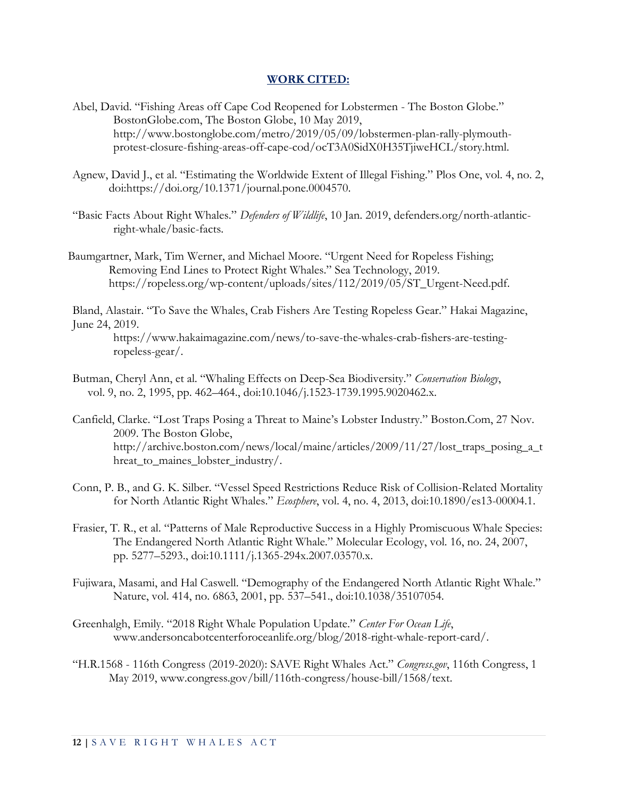#### **WORK CITED:**

- Abel, David. "Fishing Areas off Cape Cod Reopened for Lobstermen The Boston Globe." BostonGlobe.com, The Boston Globe, 10 May 2019, http://www.bostonglobe.com/metro/2019/05/09/lobstermen-plan-rally-plymouthprotest-closure-fishing-areas-off-cape-cod/ocT3A0SidX0H35TjiweHCL/story.html.
- Agnew, David J., et al. "Estimating the Worldwide Extent of Illegal Fishing." Plos One, vol. 4, no. 2, doi:https://doi.org/10.1371/journal.pone.0004570.
- "Basic Facts About Right Whales." *Defenders of Wildlife*, 10 Jan. 2019, defenders.org/north-atlanticright-whale/basic-facts.
- Baumgartner, Mark, Tim Werner, and Michael Moore. "Urgent Need for Ropeless Fishing; Removing End Lines to Protect Right Whales." Sea Technology, 2019. https://ropeless.org/wp-content/uploads/sites/112/2019/05/ST\_Urgent-Need.pdf.

Bland, Alastair. "To Save the Whales, Crab Fishers Are Testing Ropeless Gear." Hakai Magazine, June 24, 2019.

https://www.hakaimagazine.com/news/to-save-the-whales-crab-fishers-are-testingropeless-gear/.

- Butman, Cheryl Ann, et al. "Whaling Effects on Deep-Sea Biodiversity." *Conservation Biology*, vol. 9, no. 2, 1995, pp. 462–464., doi:10.1046/j.1523-1739.1995.9020462.x.
- Canfield, Clarke. "Lost Traps Posing a Threat to Maine's Lobster Industry." Boston.Com, 27 Nov. 2009. The Boston Globe, [http://archive.boston.com/news/local/maine/articles/2009/11/27/lost\\_traps\\_posing\\_a\\_t](http://archive.boston.com/news/local/maine/articles/2009/11/27/lost_traps_posing_a_threat_to_maines_lobster_industry/) [hreat\\_to\\_maines\\_lobster\\_industry/.](http://archive.boston.com/news/local/maine/articles/2009/11/27/lost_traps_posing_a_threat_to_maines_lobster_industry/)
- Conn, P. B., and G. K. Silber. "Vessel Speed Restrictions Reduce Risk of Collision-Related Mortality for North Atlantic Right Whales." *Ecosphere*, vol. 4, no. 4, 2013, doi:10.1890/es13-00004.1.
- Frasier, T. R., et al. "Patterns of Male Reproductive Success in a Highly Promiscuous Whale Species: The Endangered North Atlantic Right Whale." Molecular Ecology, vol. 16, no. 24, 2007, pp. 5277–5293., doi:10.1111/j.1365-294x.2007.03570.x.
- Fujiwara, Masami, and Hal Caswell. "Demography of the Endangered North Atlantic Right Whale." Nature, vol. 414, no. 6863, 2001, pp. 537–541., doi:10.1038/35107054.
- Greenhalgh, Emily. "2018 Right Whale Population Update." *Center For Ocean Life*, [www.andersoncabotcenterforoceanlife.org/blog/2018-right-whale-report-card/.](http://www.andersoncabotcenterforoceanlife.org/blog/2018-right-whale-report-card/)
- "H.R.1568 116th Congress (2019-2020): SAVE Right Whales Act." *Congress.gov*, 116th Congress, 1 May 2019, [www.congress.gov/bill/116th-congress/house-bill/1568/text.](http://www.congress.gov/bill/116th-congress/house-bill/1568/text)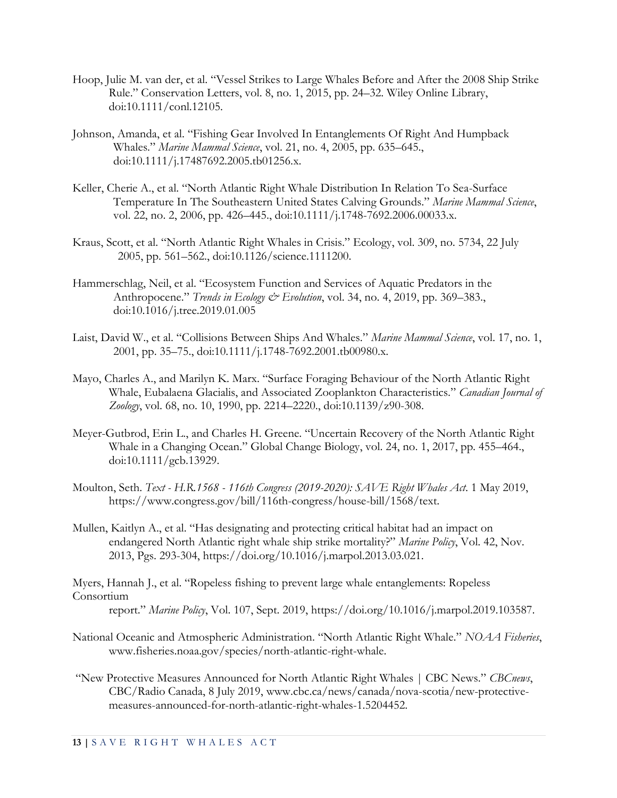- Hoop, Julie M. van der, et al. "Vessel Strikes to Large Whales Before and After the 2008 Ship Strike Rule." Conservation Letters, vol. 8, no. 1, 2015, pp. 24–32. Wiley Online Library, doi:10.1111/conl.12105.
- Johnson, Amanda, et al. "Fishing Gear Involved In Entanglements Of Right And Humpback Whales." *Marine Mammal Science*, vol. 21, no. 4, 2005, pp. 635–645., doi:10.1111/j.17487692.2005.tb01256.x.
- Keller, Cherie A., et al. "North Atlantic Right Whale Distribution In Relation To Sea-Surface Temperature In The Southeastern United States Calving Grounds." *Marine Mammal Science*, vol. 22, no. 2, 2006, pp. 426–445., doi:10.1111/j.1748-7692.2006.00033.x.
- Kraus, Scott, et al. "North Atlantic Right Whales in Crisis." Ecology, vol. 309, no. 5734, 22 July 2005, pp. 561–562., doi:10.1126/science.1111200.
- Hammerschlag, Neil, et al. "Ecosystem Function and Services of Aquatic Predators in the Anthropocene." *Trends in Ecology & Evolution*, vol. 34, no. 4, 2019, pp. 369–383., doi:10.1016/j.tree.2019.01.005
- Laist, David W., et al. "Collisions Between Ships And Whales." *Marine Mammal Science*, vol. 17, no. 1, 2001, pp. 35–75., doi:10.1111/j.1748-7692.2001.tb00980.x.
- Mayo, Charles A., and Marilyn K. Marx. "Surface Foraging Behaviour of the North Atlantic Right Whale, Eubalaena Glacialis, and Associated Zooplankton Characteristics." *Canadian Journal of Zoology*, vol. 68, no. 10, 1990, pp. 2214–2220., doi:10.1139/z90-308.
- Meyer-Gutbrod, Erin L., and Charles H. Greene. "Uncertain Recovery of the North Atlantic Right Whale in a Changing Ocean." Global Change Biology, vol. 24, no. 1, 2017, pp. 455–464., doi:10.1111/gcb.13929.
- Moulton, Seth. *Text - H.R.1568 - 116th Congress (2019-2020): SAVE Right Whales Act*. 1 May 2019, https://www.congress.gov/bill/116th-congress/house-bill/1568/text.
- Mullen, Kaitlyn A., et al. "Has designating and protecting critical habitat had an impact on endangered North Atlantic right whale ship strike mortality?" *Marine Policy*, Vol. 42, Nov. 2013, Pgs. 293-304, [https://doi.org/10.1016/j.marpol.2013.03.021.](https://doi-org.ezproxy.cul.columbia.edu/10.1016/j.marpol.2013.03.021)

Myers, Hannah J., et al. "Ropeless fishing to prevent large whale entanglements: Ropeless Consortium

report." *Marine Policy*, Vol. 107, Sept. 2019, https://doi.org/10.1016/j.marpol.2019.103587.

- National Oceanic and Atmospheric Administration. "North Atlantic Right Whale." *NOAA Fisheries*, [www.fisheries.noaa.gov/species/north-atlantic-right-whale.](http://www.fisheries.noaa.gov/species/north-atlantic-right-whale)
- "New Protective Measures Announced for North Atlantic Right Whales | CBC News." *CBCnews*, CBC/Radio Canada, 8 July 2019, [www.cbc.ca/news/canada/nova-scotia/new-protective](http://www.cbc.ca/news/canada/nova-scotia/new-protective-measures-announced-for-north-atlantic-right-whales-1.5204452)[measures-announced-for-north-atlantic-right-whales-1.5204452.](http://www.cbc.ca/news/canada/nova-scotia/new-protective-measures-announced-for-north-atlantic-right-whales-1.5204452)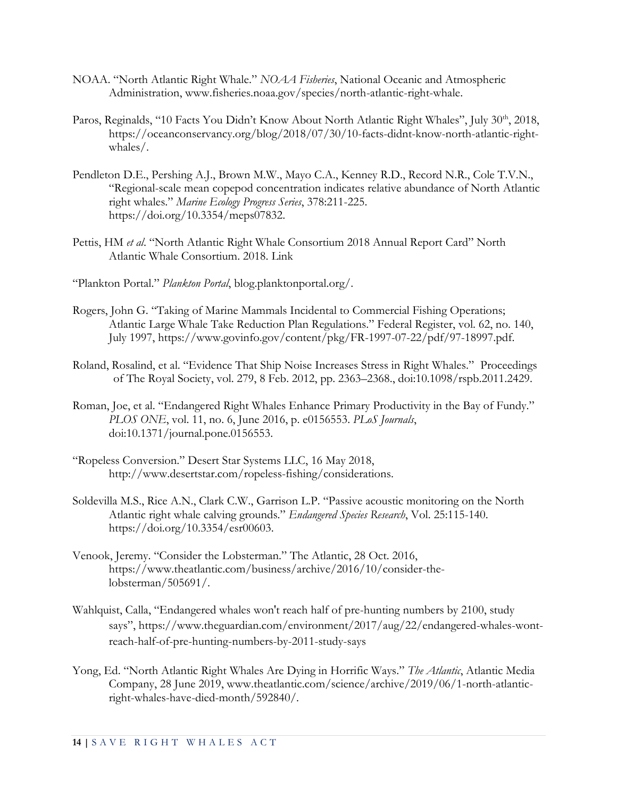- NOAA. "North Atlantic Right Whale." *NOAA Fisheries*, National Oceanic and Atmospheric Administration, [www.fisheries.noaa.gov/species/north-atlantic-right-whale.](http://www.fisheries.noaa.gov/species/north-atlantic-right-whale)
- Paros, Reginalds, "10 Facts You Didn't Know About North Atlantic Right Whales", July 30<sup>th</sup>, 2018, https://oceanconservancy.org/blog/2018/07/30/10-facts-didnt-know-north-atlantic-rightwhales/.
- Pendleton D.E., Pershing A.J., Brown M.W., Mayo C.A., Kenney R.D., Record N.R., Cole T.V.N., "Regional-scale mean copepod concentration indicates relative abundance of North Atlantic right whales." *Marine Ecology Progress Series*, 378:211-225. https://doi.org/10.3354/meps07832.
- Pettis, HM *et al*. "North Atlantic Right Whale Consortium 2018 Annual Report Card" North Atlantic Whale Consortium. 2018. [Link](https://www.narwc.org/uploads/1/1/6/6/116623219/2018report_cardfinal.pdf)
- "Plankton Portal." *Plankton Portal*, blog.planktonportal.org/.
- Rogers, John G. "Taking of Marine Mammals Incidental to Commercial Fishing Operations; Atlantic Large Whale Take Reduction Plan Regulations." Federal Register, vol. 62, no. 140, July 1997, https://www.govinfo.gov/content/pkg/FR-1997-07-22/pdf/97-18997.pdf.
- Roland, Rosalind, et al. "Evidence That Ship Noise Increases Stress in Right Whales." Proceedings of The Royal Society, vol. 279, 8 Feb. 2012, pp. 2363–2368., doi:10.1098/rspb.2011.2429.
- Roman, Joe, et al. "Endangered Right Whales Enhance Primary Productivity in the Bay of Fundy." *PLOS ONE*, vol. 11, no. 6, June 2016, p. e0156553. *PLoS Journals*, doi:10.1371/journal.pone.0156553.
- "Ropeless Conversion." Desert Star Systems LLC, 16 May 2018, [http://www.desertstar.com/ropeless-fishing/considerations.](http://www.desertstar.com/ropeless-fishing/considerations)
- Soldevilla M.S., Rice A.N., Clark C.W., Garrison L.P. "Passive acoustic monitoring on the North Atlantic right whale calving grounds." *Endangered Species Research*, Vol. 25:115-140. [https://doi.org/10.3354/esr00603.](https://doi-org.ezproxy.cul.columbia.edu/10.3354/esr00603)
- Venook, Jeremy. "Consider the Lobsterman." The Atlantic, 28 Oct. 2016, [https://www.theatlantic.com/business/archive/2016/10/consider-the](https://www.theatlantic.com/business/archive/2016/10/consider-the-lobsterman/505691/)[lobsterman/505691/.](https://www.theatlantic.com/business/archive/2016/10/consider-the-lobsterman/505691/)
- Wahlquist, Calla, "Endangered whales won't reach half of pre-hunting numbers by 2100, study says", https://www.theguardian.com/environment/2017/aug/22/endangered-whales-wontreach-half-of-pre-hunting-numbers-by-2011-study-says
- Yong, Ed. "North Atlantic Right Whales Are Dying in Horrific Ways." *The Atlantic*, Atlantic Media Company, 28 June 2019, [www.theatlantic.com/science/archive/2019/06/1-north-atlantic](http://www.theatlantic.com/science/archive/2019/06/1-north-atlantic-right-whales-have-died-month/592840/)[right-whales-have-died-month/592840/.](http://www.theatlantic.com/science/archive/2019/06/1-north-atlantic-right-whales-have-died-month/592840/)